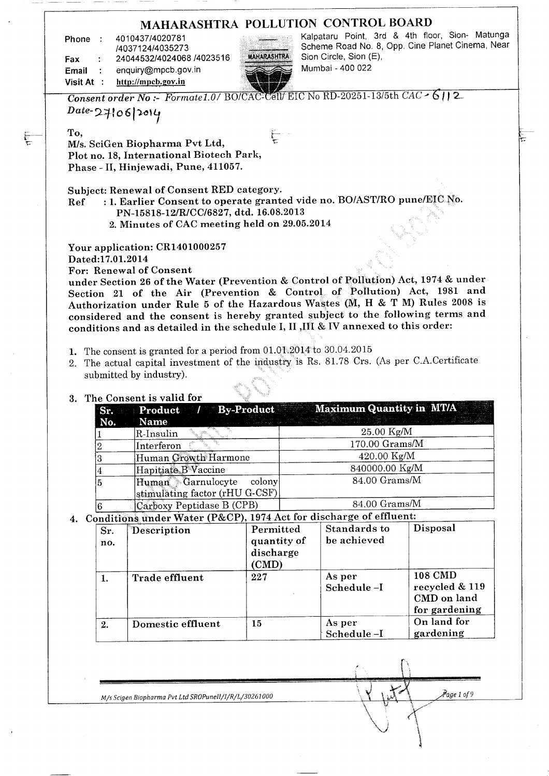| 4010437/4020781<br>Phone :                                           | MAHARASHTRA POLLUTION CONTROL BOARD<br>Kalpataru Point, 3rd & 4th floor, Sion- Matunga<br>Scheme Road No. 8, Opp. Cine Planet Cinema, Near |
|----------------------------------------------------------------------|--------------------------------------------------------------------------------------------------------------------------------------------|
| /4037124/4035273<br>24044532/4024068 /4023516<br>Fax                 | <b>MAHARASHTRA</b><br>Sion Circle, Sion (E),                                                                                               |
| enquiry@mpcb.gov.in<br>Email<br>$\overline{\mathbf{r}}$              | Mumbai - 400 022                                                                                                                           |
| http://mpcb.gov.in<br>Visit At :                                     |                                                                                                                                            |
|                                                                      | Consent order No: Formate1.0/ BO/CAC-Cell/ EIC No RD-20251-13/5th CAC - 6112                                                               |
| $Date-27106 2014$                                                    |                                                                                                                                            |
| To,                                                                  | $\sum_{i=1}^{n}$                                                                                                                           |
| M/s. SciGen Biopharma Pvt Ltd,                                       |                                                                                                                                            |
| Plot no. 18, International Biotech Park,                             |                                                                                                                                            |
| Phase - II, Hinjewadi, Pune, 411057.                                 |                                                                                                                                            |
| Subject: Renewal of Consent RED category.                            |                                                                                                                                            |
| Ref                                                                  | : 1. Earlier Consent to operate granted vide no. BO/AST/RO pune/EIC No.                                                                    |
| PN-15818-12/R/CC/6827, dtd. 16.08.2013                               |                                                                                                                                            |
| 2. Minutes of CAC meeting held on 29.05.2014                         |                                                                                                                                            |
|                                                                      |                                                                                                                                            |
| Your application: CR1401000257                                       |                                                                                                                                            |
| Dated:17.01.2014                                                     |                                                                                                                                            |
| For: Renewal of Consent                                              |                                                                                                                                            |
|                                                                      | under Section 26 of the Water (Prevention & Control of Pollution) Act, 1974 & under                                                        |
|                                                                      | Section 21 of the Air (Prevention & Control of Pollution) Act, 1981 and                                                                    |
|                                                                      | Authorization under Rule 5 of the Hazardous Wastes (M, H & T M) Rules 2008 is                                                              |
|                                                                      | considered and the consent is hereby granted subject to the following terms and                                                            |
|                                                                      | conditions and as detailed in the schedule I, II , III & IV annexed to this order:                                                         |
| 1. The consent is granted for a period from 01.01.2014 to 30.04.2015 |                                                                                                                                            |
|                                                                      | 2. The actual capital investment of the industry is Rs. 81.78 Crs. (As per C.A.Certificate                                                 |
| submitted by industry).                                              |                                                                                                                                            |
|                                                                      |                                                                                                                                            |
| 3. The Consent is valid for                                          |                                                                                                                                            |
| <b>By-Product</b><br>Product<br>$T^{\infty}$<br>Sr.                  | <b>Maximum Quantity in MT/A</b>                                                                                                            |
| Name<br>No.                                                          |                                                                                                                                            |
| R-Insulin                                                            | 25.00 Kg/M                                                                                                                                 |
| Interferon<br>$\overline{2}$                                         | 170.00 Grams/M                                                                                                                             |
| Human Growth Harmone<br>3                                            | 420.00 Kg/M                                                                                                                                |
| Hapitiate B <sup>N</sup> accine<br>$\overline{A}$                    | 840000.00 Kg/M                                                                                                                             |

6  $s$ timulating factor (rHU G-CSF) Carboxy Peptidase B (CPB) 84.00 Grams/M

Human Garnulocyte colony

| Sr.<br>no. | Description           | Permitted<br>quantity of<br>discharge<br>(CMD) | <b>Standards to</b><br>be achieved | Disposal                                                  |
|------------|-----------------------|------------------------------------------------|------------------------------------|-----------------------------------------------------------|
| 1.         | <b>Trade effluent</b> | 227                                            | As per<br>Schedule-I               | 108 CMD<br>recycled & 119<br>CMD on land<br>for gardening |
| 2.         | Domestic effluent     | 15                                             | As per<br>Schedule-I               | On land for<br>gardening                                  |

84.00 Grams/M

*M/s Scigen Biopharma Pvt Ltd SROPunell/I/R/L/30261000* **1/2009** ( 1/4 ) M/s Scigen Biopharma Pvt Ltd SROPunell/I/R/L/30261000

-<br>โ

 $\frac{1}{\sqrt{2\pi}}\int_0^1\frac{dx}{(x-x)^2}dx$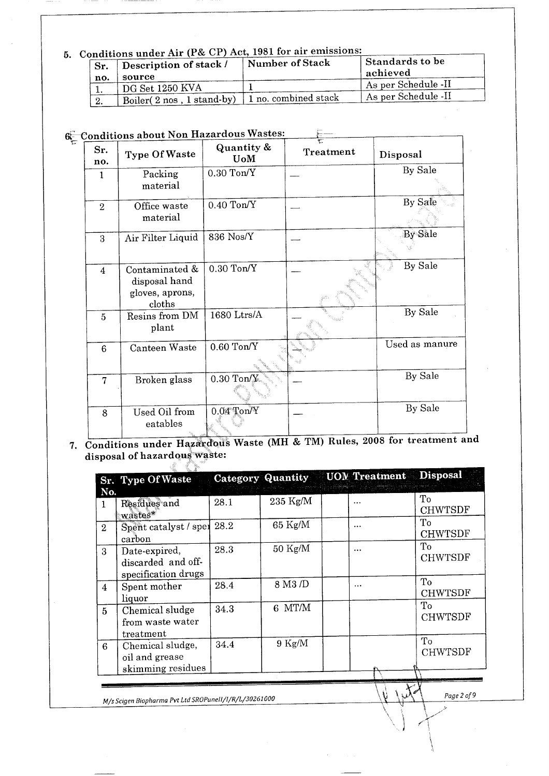# **5. Conditions under Air (P& CP) Act, 1981 for air emissions:**

| Sr. | onditions under Air (F& UI) Act, 1901 for an emissions:<br>Description of stack /<br>source | Number of Stack            | <b>Standards to be</b><br>achieved |
|-----|---------------------------------------------------------------------------------------------|----------------------------|------------------------------------|
| no. | DG Set 1250 KVA                                                                             |                            | As per Schedule -II                |
| -2. | Boiler(2 nos, 1 stand-by)                                                                   | $\pm 1$ no. combined stack | As per Schedule -II                |

# **(^Conditions about Non Hazardous Wastes:**

| Sr.<br>no.       | onditions about Non makes<br><b>Type Of Waste</b>            | Quantity &<br><b>U</b> oM | Treatment | Disposal       |
|------------------|--------------------------------------------------------------|---------------------------|-----------|----------------|
| 1                | Packing<br>material                                          | $0.30$ Ton/Y              |           | By Sale        |
| $\mathbf{2}$     | Office waste<br>material                                     | $0.40$ Ton/Y              |           | By Sale        |
| 3                | Air Filter Liquid                                            | 836 Nos/Y                 |           | By Sale        |
| $\boldsymbol{4}$ | Contaminated &<br>disposal hand<br>gloves, aprons,<br>cloths | $0.30$ Ton/Y              |           | By Sale        |
| 5                | Resins from DM<br>plant                                      | 1680 Ltrs/A               |           | By Sale        |
| 6                | Canteen Waste                                                | $0.60$ Ton/Y              |           | Used as manure |
| 7                | Broken glass                                                 | $0.30$ Ton/ $y$           |           | By Sale        |
| 8                | Used Oil from<br>eatables                                    | $0.04$ Ton/Y              |           | By Sale        |

### **7. Conditions under Hazardous Waste (MH & TM) Rules, 2008 for treatment and** onditions under mazardous<br>interactions and our waste:

|                | Sr. Type Of Waste                                          |      | <b>Category Quantity</b> | UOM Treatment Disposal |                      |
|----------------|------------------------------------------------------------|------|--------------------------|------------------------|----------------------|
| No.<br>1       | Residues and<br>wastes*                                    | 28.1 | $235$ Kg/M               | $\cdots$               | To<br><b>CHWTSDF</b> |
| $\overline{2}$ | Spent catalyst / spen 28.2<br>carbon                       |      | $65 \text{ Kg/M}$        | $\cdots$               | To<br><b>CHWTSDF</b> |
|                | Date-expired,<br>discarded and off-<br>specification drugs | 28.3 | $50 \text{ Kg/M}$        | $\cdots$               | To<br><b>CHWTSDF</b> |
| $\overline{4}$ | Spent mother<br>liquor                                     | 28.4 | 8 M3 /D                  | $\cdots$               | To<br><b>CHWTSDF</b> |
|                | Chemical sludge<br>from waste water<br>treatment           | 34.3 | 6 MT/M                   |                        | To<br><b>CHWTSDF</b> |
|                | Chemical sludge,<br>oil and grease<br>skimming residues    | 34.4 | $9$ Kg/M                 |                        | To<br><b>CHWTSDF</b> |

! *r*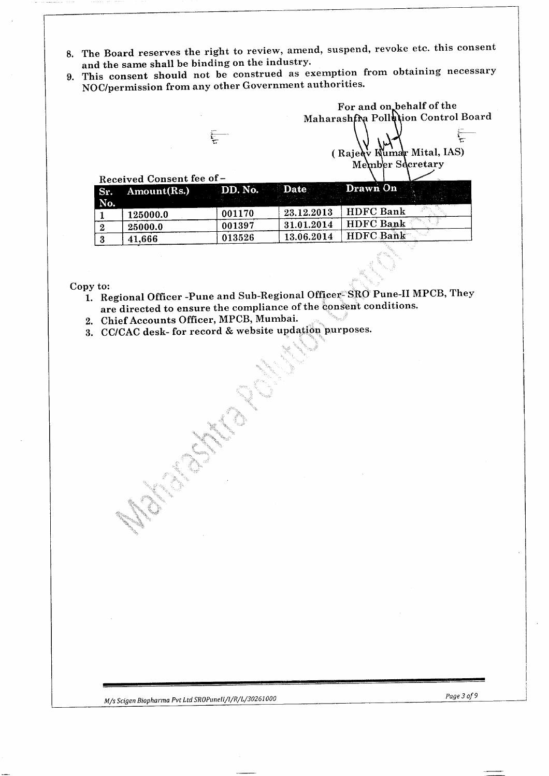- 8. The Board reserves the right to review, amend, suspend, revoke etc. this consent and the same shall be binding on the industry.
- 9. This consent should not be construed as exemption from obtaining necessary NOC/permission from any other Government authorities.

Maharashfra Pollution Control Board

For and on behalf of the

 $($  Rajeq $\dot{\mathbf{v}}$  Kumar Mital, IAS) Me mb'er Secretary

|         | Received Consent fee of -         |        |            |                  |
|---------|-----------------------------------|--------|------------|------------------|
| Sr.     | Amount(Rs.) DD. No. Date Drawn On |        |            |                  |
| No.     |                                   |        |            |                  |
|         | 125000.0                          | 001170 | 23.12.2013 | <b>HDFC Bank</b> |
|         | 25000.0                           | 001397 | 31.01.2014 | <b>HDFC Bank</b> |
| $\cdot$ | 41,666                            | 013526 | 13.06.2014 | <b>HDFC Bank</b> |

Copy to:

- 1. Regional Officer -Pune and Sub-Regional Officer- SRO Pune-II MPCB, They are directed to ensure the compliance of the consent conditions.
- 2. Chief Accounts Officer, MPCB, Mumbai.
- 3. CC/CAC desk- for record & website updation purposes.

*M/s Scigen Biopharma Pvt Ltd SROPuneIl/l/R/L/30261000 Page 3 of 9*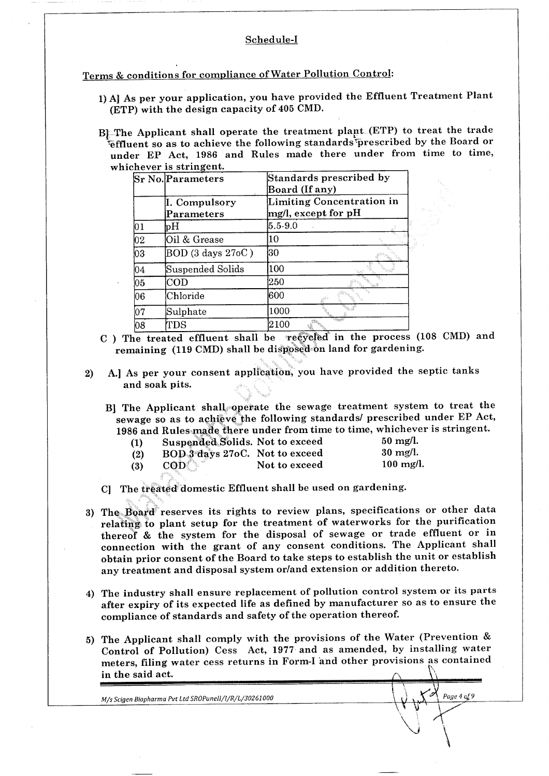#### Schedule-I

Terms & conditions for compliance of Water Pollution Control:

- 1) A] As per your application, you have provided the Effluent Treatment Plant (ETP) with the design capacity of 405 CMD.
- BJ-The Applicant shall operate the treatment plant-(ETP) to treat the trade ^effluent so as to achieve the following standardsrprescribed by the Board or under EP Act, 1986 and Rules made there under from time to time, whichever is stringent.

|     | <b>Sr No. Parameters</b>         | Standards prescribed by<br>Board (If any)        |  |  |
|-----|----------------------------------|--------------------------------------------------|--|--|
|     | I. Compulsory<br>Parameters      | Limiting Concentration in<br>mg/l, except for pH |  |  |
| 01  | рH                               | $5.5 - 9.0$                                      |  |  |
| 02  | Oil & Grease                     | 10                                               |  |  |
| ÒЗ  | BOD (3 days 27oC)                | 30                                               |  |  |
| 04  | Suspended Solids                 | 100                                              |  |  |
| 05  | $\mathop{\mathrm{COD}}\nolimits$ | 250                                              |  |  |
| 06  | Chloride                         | 600                                              |  |  |
| 107 | Sulphate                         | 1000                                             |  |  |
| 08  | TDS                              | $2100\,$                                         |  |  |

- C ) The treated effluent shall be recycled in the process (108 CMD) and remaining (119 CMD) shall be disposed on land for gardening.
- 2) A.] As per your consent application, you have provided the septic tanks and soak pits.

B] The Applicant shall operate the sewage treatment system to treat the sewage so as to achieve the following standards/ prescribed under EP Act, 1986 and Rules made there under from time to time, whichever is stringent.

| (1) | Suspended Solids. Not to exceed |               | $50 \text{ mg/l.}$  |
|-----|---------------------------------|---------------|---------------------|
| (2) | BOD 3 days 27oC. Not to exceed  |               | $30 \text{ mg/l}$ . |
| (3) | $\mathbf{COD}$                  | Not to exceed | $100$ mg/l.         |

- C] The treated domestic Effluent shall be used on gardening.
- 3) The Board reserves its rights to review plans, specifications or other data relating to plant setup for the treatment of waterworks for the purification thereof & the system for the disposal of sewage or trade effluent or in connection with the grant of any consent conditions. The Applicant shall obtain prior consent of the Board to take steps to establish the unit or establish any treatment and disposal system or/and extension or addition thereto.
- 4) The industry shall ensure replacement of pollution control system or its parts after expiry of its expected life as defined by manufacturer so as to ensure the compliance of standards and safety of the operation thereof.
- 5) The Applicant shall comply with the provisions of the Water (Prevention & Control of Pollution) Cess Act, 1977 and as amended, by installing water meters, filing water cess returns in Form-I and other provisions as contained in the said act.

M/s Scigen Biopharma Pvt Ltd SROPunell/l/R/L/30261000

Page 4 of 9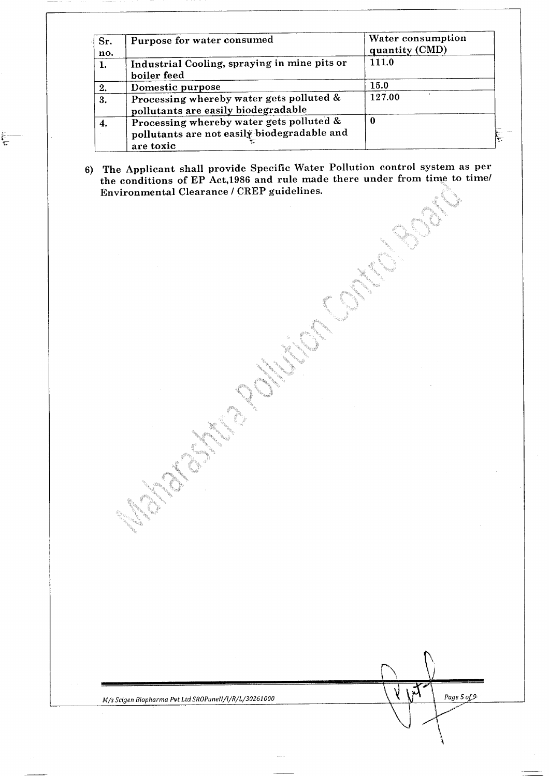| Sr.<br>no. | Purpose for water consumed                                                                           | Water consumption<br>quantity (CMD) |
|------------|------------------------------------------------------------------------------------------------------|-------------------------------------|
| 1.         | Industrial Cooling, spraying in mine pits or<br>boiler feed                                          | 111.0                               |
| 2.         | Domestic purpose                                                                                     | 15.0                                |
| 3.         | Processing whereby water gets polluted &<br>pollutants are easily biodegradable                      | 127.00                              |
| 4.         | Processing whereby water gets polluted &<br>pollutants are not easily biodegradable and<br>are toxic | 0                                   |

6) The Applicant shall provide Specific Water Pollution control system as per the conditions of EP Act,1986 and rule made there under from time to time/ Environmental Clearance / CREP guidelines.

Ę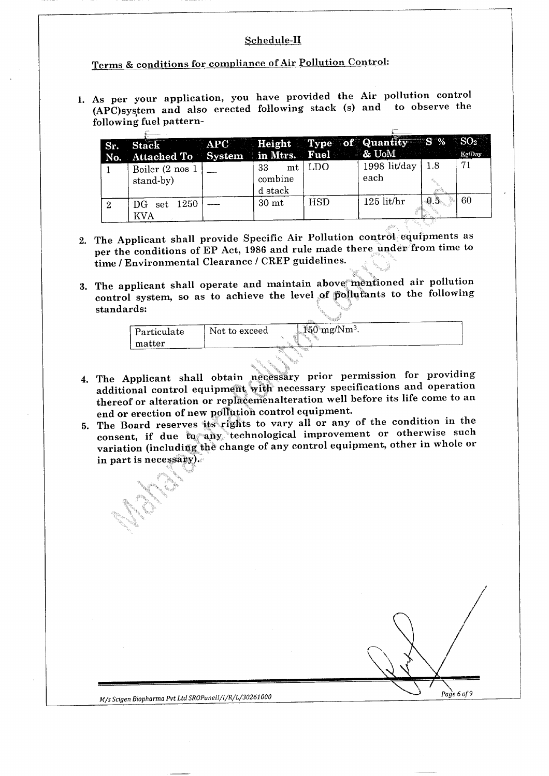#### Schedule-II

# Terms & conditions for compliance of Air Pollution Control:

1. As per your application, you have provided the Air pollution control (APC) system and also erected following stack (s) and to observe the following fuel pattern-

| Sr. | Stack APC Height Type of Quantity S % SO <sub>2</sub><br>No. Attached To System in Mtrs. Fuel & CoM KgDay |                          |            |                      |      |    |
|-----|-----------------------------------------------------------------------------------------------------------|--------------------------|------------|----------------------|------|----|
|     | Boiler (2 nos 1<br>stand-by)                                                                              | 33<br>combine<br>d stack | $mt$   LDO | 1998 lit/day<br>each | -1.8 | 71 |
| 2   | DG set 1250<br>KVA                                                                                        | 30 <sub>mt</sub>         | <b>HSD</b> | $125$ lit/hr         | 0.5  | 60 |

- 2. The Applicant shall provide Specific Air Pollution control equipments as per the conditions of EP Act, 1986 and rule made there under from time to time / Environmental Clearance / CREP guidelines.
- 3. The applicant shall operate and maintain above mentioned air pollution ne applicant shall operate and maillean assets the control of pollutants to the following ontrol sys<br>....dards:

|                              |               | <b>CONTRACTOR</b>              |
|------------------------------|---------------|--------------------------------|
| $\mathord{\mid}$ Particulate | Not to exceed | $150 \text{ mg}/\text{Nm}^3$ . |
| matter                       |               |                                |
|                              |               |                                |

- 4. The Applicant shall obtain necessary prior permission for providing additional control equipment with necessary specifications and operation thereof or alteration or replacemenalteration well before its life come to an end or erection of new pollution control equipment,
- 5. The Board reserves its rights to vary all or any of the condition in the consent, if due to any technological improvement or otherwise such onsent, if due to any complement in recoverience of the change of any control equipment, other in whole or ariation (including v<br>n part is necessary).

*\ 6 of 9*

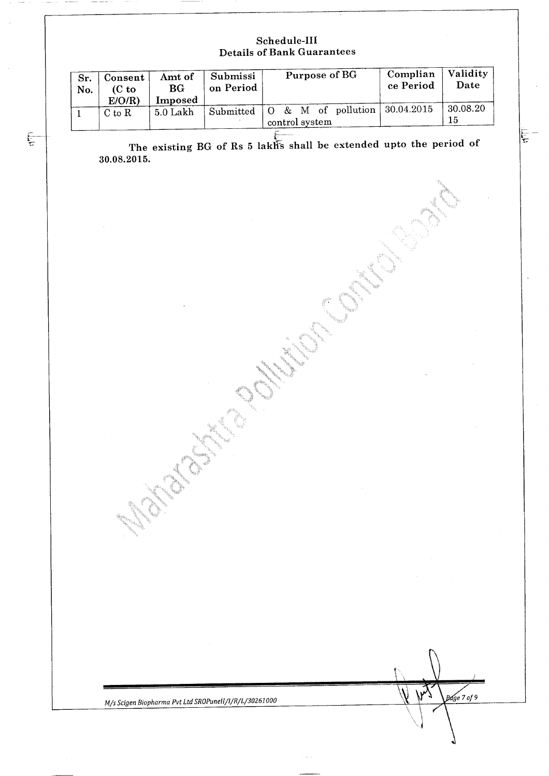#### **Schedule-Ill Details of Bank Guarantees**

| Sr.<br>No. | Consent<br>$(C_{\mathbf{t}})$<br>E/O/R | Amt of<br>BG<br>Imposed | Submissi<br>on Period | Purpose of BG                                  | Complian<br>ce Period | Validity<br>Date |
|------------|----------------------------------------|-------------------------|-----------------------|------------------------------------------------|-----------------------|------------------|
|            | $C$ to $R$                             | 5.0 Lakh                | Submitted             | & M of pollution<br>$\Omega$<br>control system | 30.04.2015            | 30.08.20<br>15   |

 $\sum_{i=1}^{n}$ 

The existing BG of Rs 5 lakless shall be extended upto the period of **30.08.2015.**

MARIE SINGLETING

*M/s Scigen Biopharma Pvt Ltd SROPunelI/l/R/L/30261000 fields fields fields**f***<sub>0</sub>***ge 7 of* **9**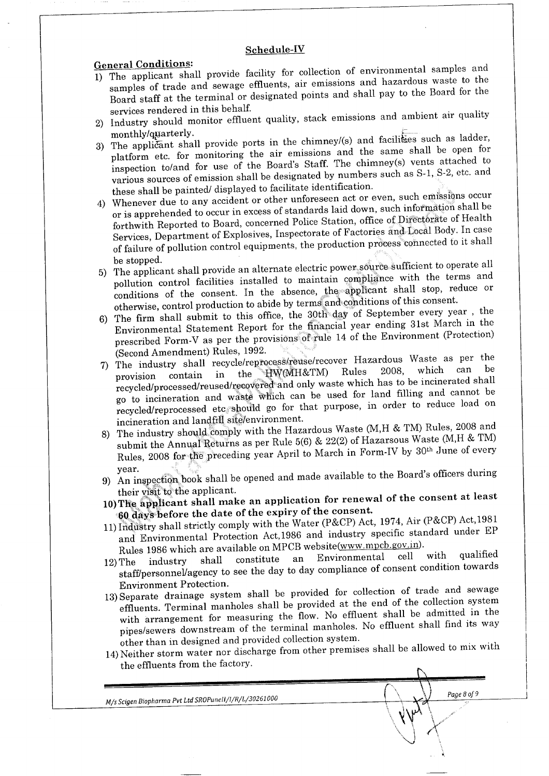#### **Schedule-IV**

**General Conditions:**

- 1) The applicant shall provide facility for collection of environmental samples and samples of trade and sewage effluents, air emissions and hazardous waste to the ples of trade and sewage eminents, air emissions and hall navigations will be pointed. rd staff at the terminal or desired in the behalf.
- services rendered in this benait.<br>Industry should monitor effluent quality, stack emissions and ambient air quality<br>monthly/granterly.
- monthly/quarterly.<br> $\frac{1}{2}$  is note in the chimney/(s) and facilities such as ladder, p applicant shall provide ports in the chinners  $\frac{1}{2}$  and the same shall be open for platform etc. for monitoring the air emissions and the same shall be open for inspection to/and for use of the Board's Staff. The chimney(s) vents attached to pection to/ and for use of the board's stand the emission such as  $S-1$ ,  $S-2$ , etc. and the sources of emission shall be designated by numbers of
- these shall be painted/ displayed to facilitate identification.<br>4) Whenever due to any accident or other unforeseen act or even, such emissions occur or is apprehended to occur in excess of standards laid down, such information shall be forthwith Reported to Board, concerned Police Station, office of Directorate of Health Services, Department of Explosives, Inspectorate of Factories and Local Body. In case ryices, Department of Explosives, Hispecturiate of Pactures and Control equipments, the production process connected to it shall failure of p
- be stopped.<br>5) The applicant shall provide an alternate electric power source sufficient to operate all pollution control facilities installed to maintain compliance with the terms and conditions of the consent. In the absence, the applicant shall stop, reduce or otherwise, control production to abide by terms and conditions of this consent.
- 6) The firm shall submit to this office, the 30th day of September every year , the Environmental Statement Report for the financial year ending 31st March in the prescribed Form-V as per the provisions of rule 14 of the Environment (Protection)  $\frac{1}{2}$  (Second American American American American American American American American American American American American American American American American American American American American American American Ameri
- $\frac{1}{2}$  (Second Amendment) Rules, 1992. pe industry shall recycle/reprocess ease/recover in the Water of The Times of the Can be provision contain in the HW(MH&TM) Rules 2008, which can be recycled/processed/reused/recovered and only waste which has to be incinerated shall go to incineration and waste which can be used for land filling and cannot be to incineration and waste which can be used for that  $\frac{1}{2}$  many  $\frac{1}{2}$  and  $\frac{1}{2}$  order to reduce load on cycled/reprocessed etc. situum gu tul that
- incineration and landfill site/environment.<br>8) The industry should comply with the Hazardous Waste (M,H & TM) Rules, 2008 and submit the Annual Returns as per Rule 5(6) & 22(2) of Hazarsous Waste (M,H & TM) but the Annual Resurs as per rule  $\sigma(\sigma)$  or  $\sigma$  is reasonable. The preceding  $\sigma$  and  $\sigma$  arch in Form-IV by 30<sup>th</sup> June of every ules,
- $\frac{1}{2}$  year.<br>year. n inspection book shall be
- their visit to the applicant.<br> **he applicant shall make an application for reflexive**<br>experience the data of the consent.
- 60 days before the date of the expiry of the consent.<br>11) Industry shall strictly comply with the Water (P&CP) Act, 1974, Air (P&CP) Act, 1981 and Environmental Protection Act, 1986 and industry specific standard under EP nd Environmental Protection Act, 1990 and masses of the contract of the contract of working website(www.mpcb.gov.in).
- Rules 1986 which are available on  $\mu_1$  website www.inpersonal cell with qualified  $\frac{1}{2}$  industry shall constitute an Environmental  $\frac{1}{2}$ tatt/personnel/agency to
- 13) Separate drainage system shall be provided for collection of trade and sewage effluents. Terminal manholes shall be provided at the end of the collection system with arrangement for measuring the flow. No effluent shall be admitted in the with arrangement for measuring the now. To effluent shall find its way other than in designed and provided and provided and provided system.
- other than in designed and provided conection system. Neither storm water nor discl

 $\sqrt{m^2}$ \ '

Page 8 of 9

*M/s Scigen Biopharma Pvt Ltd SROPunell/l/R/L/30261000*